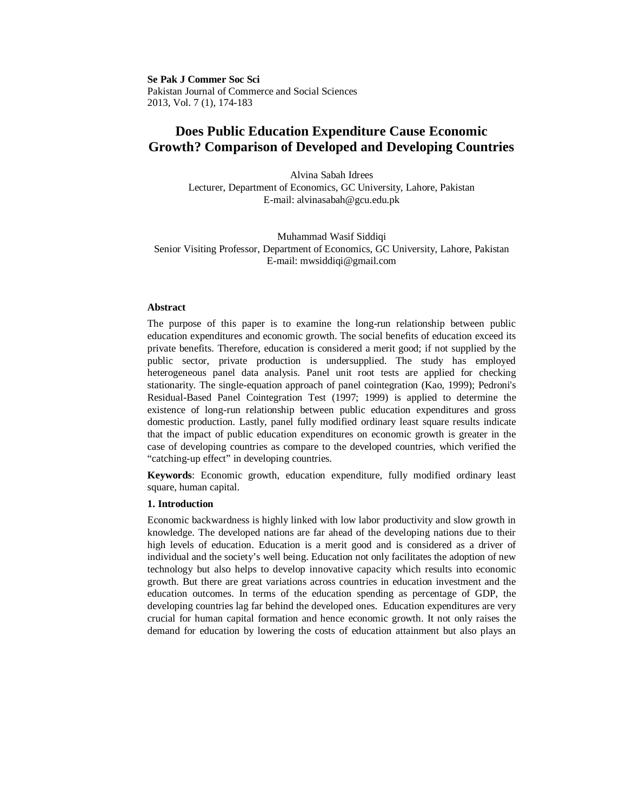**Se Pak J Commer Soc Sci** Pakistan Journal of Commerce and Social Sciences 2013, Vol. 7 (1), 174-183

# **Does Public Education Expenditure Cause Economic Growth? Comparison of Developed and Developing Countries**

Alvina Sabah Idrees Lecturer, Department of Economics, GC University, Lahore, Pakistan E-mail: alvinasabah@gcu.edu.pk

Muhammad Wasif Siddiqi Senior Visiting Professor, Department of Economics, GC University, Lahore, Pakistan E-mail: mwsiddiqi@gmail.com

# **Abstract**

The purpose of this paper is to examine the long-run relationship between public education expenditures and economic growth. The social benefits of education exceed its private benefits. Therefore, education is considered a merit good; if not supplied by the public sector, private production is undersupplied. The study has employed heterogeneous panel data analysis. Panel unit root tests are applied for checking stationarity. The single-equation approach of panel cointegration (Kao, 1999); Pedroni's Residual-Based Panel Cointegration Test (1997; 1999) is applied to determine the existence of long-run relationship between public education expenditures and gross domestic production. Lastly, panel fully modified ordinary least square results indicate that the impact of public education expenditures on economic growth is greater in the case of developing countries as compare to the developed countries, which verified the "catching-up effect" in developing countries.

**Keywords**: Economic growth, education expenditure, fully modified ordinary least square, human capital.

# **1. Introduction**

Economic backwardness is highly linked with low labor productivity and slow growth in knowledge. The developed nations are far ahead of the developing nations due to their high levels of education. Education is a merit good and is considered as a driver of individual and the society's well being. Education not only facilitates the adoption of new technology but also helps to develop innovative capacity which results into economic growth. But there are great variations across countries in education investment and the education outcomes. In terms of the education spending as percentage of GDP, the developing countries lag far behind the developed ones. Education expenditures are very crucial for human capital formation and hence economic growth. It not only raises the demand for education by lowering the costs of education attainment but also plays an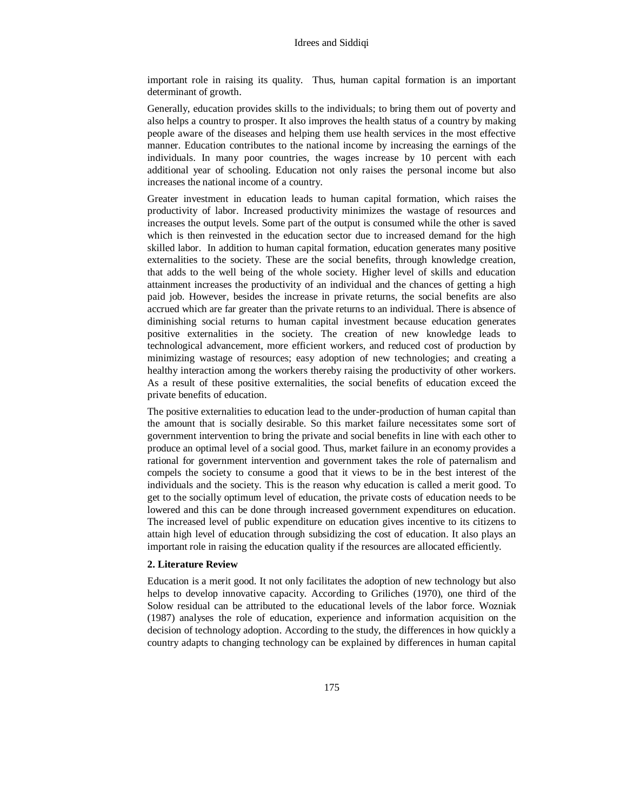important role in raising its quality. Thus, human capital formation is an important determinant of growth.

Generally, education provides skills to the individuals; to bring them out of poverty and also helps a country to prosper. It also improves the health status of a country by making people aware of the diseases and helping them use health services in the most effective manner. Education contributes to the national income by increasing the earnings of the individuals. In many poor countries, the wages increase by 10 percent with each additional year of schooling. Education not only raises the personal income but also increases the national income of a country.

Greater investment in education leads to human capital formation, which raises the productivity of labor. Increased productivity minimizes the wastage of resources and increases the output levels. Some part of the output is consumed while the other is saved which is then reinvested in the education sector due to increased demand for the high skilled labor. In addition to human capital formation, education generates many positive externalities to the society. These are the social benefits, through knowledge creation, that adds to the well being of the whole society. Higher level of skills and education attainment increases the productivity of an individual and the chances of getting a high paid job. However, besides the increase in private returns, the social benefits are also accrued which are far greater than the private returns to an individual. There is absence of diminishing social returns to human capital investment because education generates positive externalities in the society. The creation of new knowledge leads to technological advancement, more efficient workers, and reduced cost of production by minimizing wastage of resources; easy adoption of new technologies; and creating a healthy interaction among the workers thereby raising the productivity of other workers. As a result of these positive externalities, the social benefits of education exceed the private benefits of education.

The positive externalities to education lead to the under-production of human capital than the amount that is socially desirable. So this market failure necessitates some sort of government intervention to bring the private and social benefits in line with each other to produce an optimal level of a social good. Thus, market failure in an economy provides a rational for government intervention and government takes the role of paternalism and compels the society to consume a good that it views to be in the best interest of the individuals and the society. This is the reason why education is called a merit good. To get to the socially optimum level of education, the private costs of education needs to be lowered and this can be done through increased government expenditures on education. The increased level of public expenditure on education gives incentive to its citizens to attain high level of education through subsidizing the cost of education. It also plays an important role in raising the education quality if the resources are allocated efficiently.

## **2. Literature Review**

Education is a merit good. It not only facilitates the adoption of new technology but also helps to develop innovative capacity. According to Griliches (1970), one third of the Solow residual can be attributed to the educational levels of the labor force. Wozniak (1987) analyses the role of education, experience and information acquisition on the decision of technology adoption. According to the study, the differences in how quickly a country adapts to changing technology can be explained by differences in human capital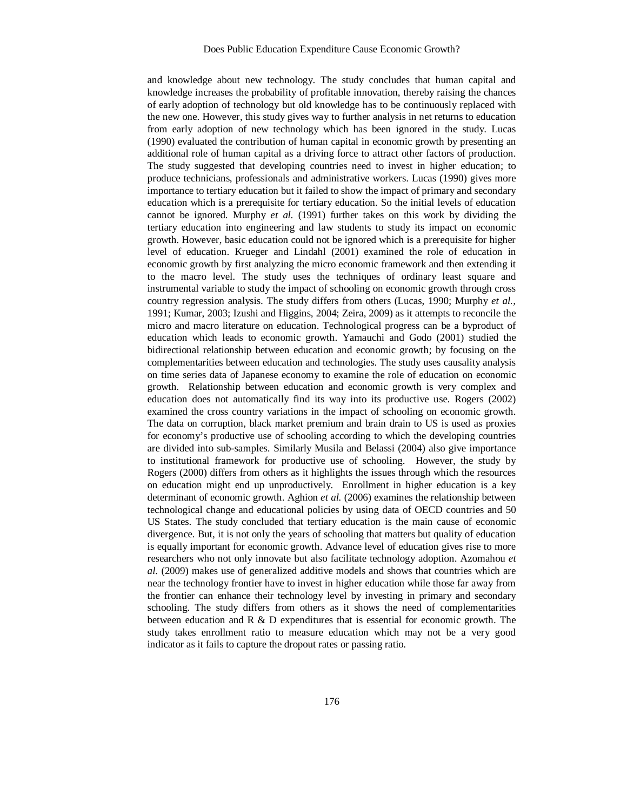and knowledge about new technology. The study concludes that human capital and knowledge increases the probability of profitable innovation, thereby raising the chances of early adoption of technology but old knowledge has to be continuously replaced with the new one. However, this study gives way to further analysis in net returns to education from early adoption of new technology which has been ignored in the study. Lucas (1990) evaluated the contribution of human capital in economic growth by presenting an additional role of human capital as a driving force to attract other factors of production. The study suggested that developing countries need to invest in higher education; to produce technicians, professionals and administrative workers. Lucas (1990) gives more importance to tertiary education but it failed to show the impact of primary and secondary education which is a prerequisite for tertiary education. So the initial levels of education cannot be ignored. Murphy *et al.* (1991) further takes on this work by dividing the tertiary education into engineering and law students to study its impact on economic growth. However, basic education could not be ignored which is a prerequisite for higher level of education. Krueger and Lindahl (2001) examined the role of education in economic growth by first analyzing the micro economic framework and then extending it to the macro level. The study uses the techniques of ordinary least square and instrumental variable to study the impact of schooling on economic growth through cross country regression analysis. The study differs from others (Lucas, 1990; Murphy *et al.,*  1991; Kumar, 2003; Izushi and Higgins, 2004; Zeira, 2009) as it attempts to reconcile the micro and macro literature on education. Technological progress can be a byproduct of education which leads to economic growth. Yamauchi and Godo (2001) studied the bidirectional relationship between education and economic growth; by focusing on the complementarities between education and technologies. The study uses causality analysis on time series data of Japanese economy to examine the role of education on economic growth. Relationship between education and economic growth is very complex and education does not automatically find its way into its productive use. Rogers (2002) examined the cross country variations in the impact of schooling on economic growth. The data on corruption, black market premium and brain drain to US is used as proxies for economy's productive use of schooling according to which the developing countries are divided into sub-samples. Similarly Musila and Belassi (2004) also give importance to institutional framework for productive use of schooling. However, the study by Rogers (2000) differs from others as it highlights the issues through which the resources on education might end up unproductively. Enrollment in higher education is a key determinant of economic growth. Aghion *et al.* (2006) examines the relationship between technological change and educational policies by using data of OECD countries and 50 US States. The study concluded that tertiary education is the main cause of economic divergence. But, it is not only the years of schooling that matters but quality of education is equally important for economic growth. Advance level of education gives rise to more researchers who not only innovate but also facilitate technology adoption. Azomahou *et al.* (2009) makes use of generalized additive models and shows that countries which are near the technology frontier have to invest in higher education while those far away from the frontier can enhance their technology level by investing in primary and secondary schooling. The study differs from others as it shows the need of complementarities between education and  $R \& D$  expenditures that is essential for economic growth. The study takes enrollment ratio to measure education which may not be a very good indicator as it fails to capture the dropout rates or passing ratio.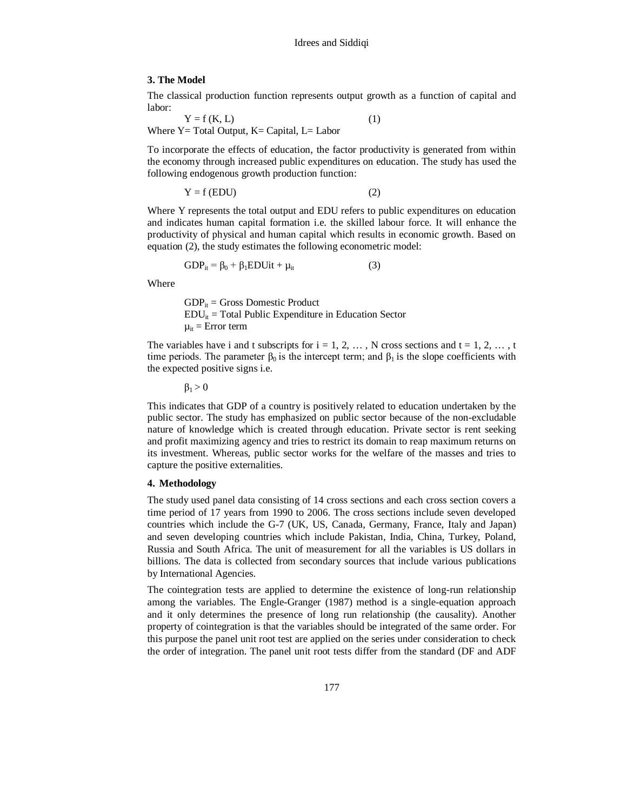## **3. The Model**

The classical production function represents output growth as a function of capital and labor:

 $Y = f(K, L)$  (1) Where  $Y = Total Output$ ,  $K = Capital$ ,  $L = Labor$ 

To incorporate the effects of education, the factor productivity is generated from within the economy through increased public expenditures on education. The study has used the following endogenous growth production function:

$$
Y = f (EDU)
$$
 (2)

Where Y represents the total output and EDU refers to public expenditures on education and indicates human capital formation i.e. the skilled labour force. It will enhance the productivity of physical and human capital which results in economic growth. Based on equation (2), the study estimates the following econometric model:

$$
GDP_{it} = \beta_0 + \beta_1 EDUit + \mu_{it} \tag{3}
$$

Where

 $GDP_{it}$  = Gross Domestic Product  $EDU_{it}$  = Total Public Expenditure in Education Sector  $\mu_{it}$  = Error term

The variables have i and t subscripts for  $i = 1, 2, \ldots$ , N cross sections and  $t = 1, 2, \ldots$ , t time periods. The parameter  $\beta_0$  is the intercept term; and  $\beta_1$  is the slope coefficients with the expected positive signs i.e.

 $\beta_1 > 0$ 

This indicates that GDP of a country is positively related to education undertaken by the public sector. The study has emphasized on public sector because of the non-excludable nature of knowledge which is created through education. Private sector is rent seeking and profit maximizing agency and tries to restrict its domain to reap maximum returns on its investment. Whereas, public sector works for the welfare of the masses and tries to capture the positive externalities.

# **4. Methodology**

The study used panel data consisting of 14 cross sections and each cross section covers a time period of 17 years from 1990 to 2006. The cross sections include seven developed countries which include the G-7 (UK, US, Canada, Germany, France, Italy and Japan) and seven developing countries which include Pakistan, India, China, Turkey, Poland, Russia and South Africa. The unit of measurement for all the variables is US dollars in billions. The data is collected from secondary sources that include various publications by International Agencies.

The cointegration tests are applied to determine the existence of long-run relationship among the variables. The Engle-Granger (1987) method is a single-equation approach and it only determines the presence of long run relationship (the causality). Another property of cointegration is that the variables should be integrated of the same order. For this purpose the panel unit root test are applied on the series under consideration to check the order of integration. The panel unit root tests differ from the standard (DF and ADF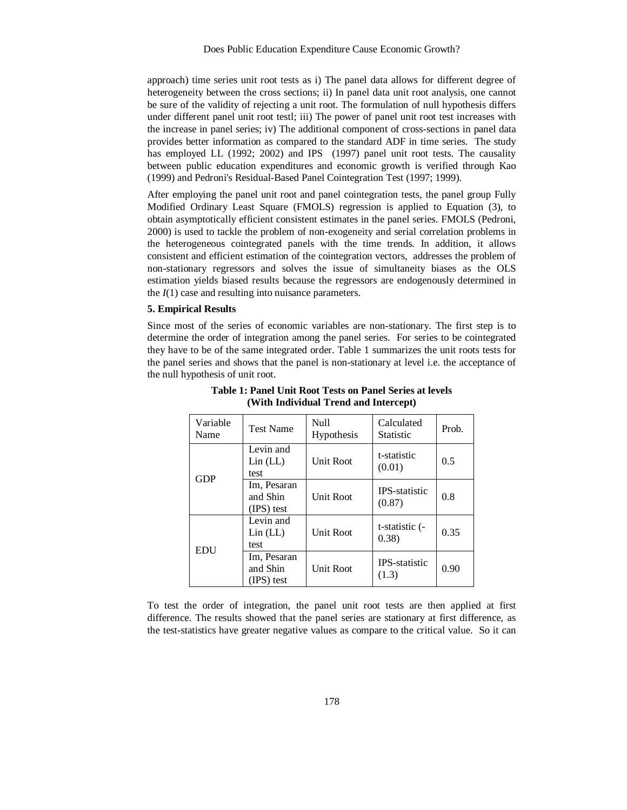approach) time series unit root tests as i) The panel data allows for different degree of heterogeneity between the cross sections; ii) In panel data unit root analysis, one cannot be sure of the validity of rejecting a unit root. The formulation of null hypothesis differs under different panel unit root testl; iii) The power of panel unit root test increases with the increase in panel series; iv) The additional component of cross-sections in panel data provides better information as compared to the standard ADF in time series. The study has employed LL (1992; 2002) and IPS (1997) panel unit root tests. The causality between public education expenditures and economic growth is verified through Kao (1999) and Pedroni's Residual-Based Panel Cointegration Test (1997; 1999).

After employing the panel unit root and panel cointegration tests, the panel group Fully Modified Ordinary Least Square (FMOLS) regression is applied to Equation (3), to obtain asymptotically efficient consistent estimates in the panel series. FMOLS (Pedroni, 2000) is used to tackle the problem of non-exogeneity and serial correlation problems in the heterogeneous cointegrated panels with the time trends. In addition, it allows consistent and efficient estimation of the cointegration vectors, addresses the problem of non-stationary regressors and solves the issue of simultaneity biases as the OLS estimation yields biased results because the regressors are endogenously determined in the *I*(1) case and resulting into nuisance parameters.

# **5. Empirical Results**

Since most of the series of economic variables are non-stationary. The first step is to determine the order of integration among the panel series. For series to be cointegrated they have to be of the same integrated order. Table 1 summarizes the unit roots tests for the panel series and shows that the panel is non-stationary at level i.e. the acceptance of the null hypothesis of unit root.

| Variable<br>Name | <b>Test Name</b>                                            | <b>Null</b><br>Hypothesis | Calculated<br><b>Statistic</b> | Prob. |
|------------------|-------------------------------------------------------------|---------------------------|--------------------------------|-------|
|                  | Levin and<br>Lin (LL)<br>test                               | <b>Unit Root</b>          | t-statistic<br>(0.01)          | 0.5   |
| <b>GDP</b>       | Im, Pesaran<br>and Shin<br><b>Unit Root</b><br>$(IPS)$ test |                           | <b>IPS-statistic</b><br>(0.87) | 0.8   |
| <b>EDU</b>       | Levin and<br>Lin (LL)<br>test                               | <b>Unit Root</b>          | t-statistic (-<br>(0.38)       | 0.35  |
|                  | Im, Pesaran<br>and Shin<br>(IPS) test                       | Unit Root                 | <b>IPS-statistic</b><br>(1.3)  | 0.90  |

**Table 1: Panel Unit Root Tests on Panel Series at levels (With Individual Trend and Intercept)**

To test the order of integration, the panel unit root tests are then applied at first difference. The results showed that the panel series are stationary at first difference, as the test-statistics have greater negative values as compare to the critical value. So it can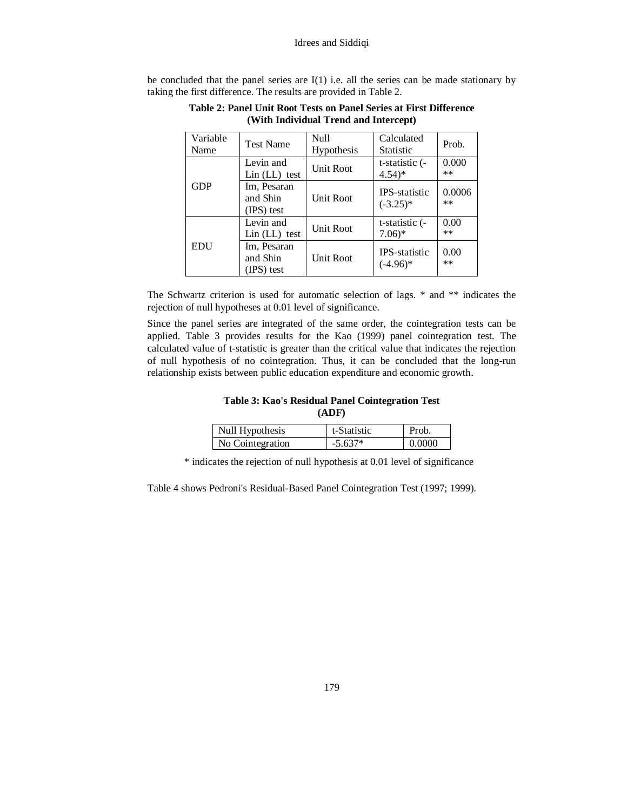be concluded that the panel series are  $I(1)$  i.e. all the series can be made stationary by taking the first difference. The results are provided in Table 2.

| Variable<br>Name | <b>Test Name</b>                      | <b>Null</b><br>Hypothesis | Calculated<br><b>Statistic</b>        | Prob.           |
|------------------|---------------------------------------|---------------------------|---------------------------------------|-----------------|
| <b>GDP</b>       | Levin and<br>$Lin (LL)$ test          | <b>Unit Root</b>          | t-statistic (-<br>$4.54$ <sup>*</sup> | 0.000<br>$**$   |
|                  | Im, Pesaran<br>and Shin<br>(IPS) test | <b>Unit Root</b>          | <b>IPS</b> -statistic<br>$(-3.25)^*$  | 0.0006<br>$***$ |
| <b>EDU</b>       | Levin and<br>$Lin (LL)$ test          | <b>Unit Root</b>          | t-statistic (-<br>$7.06*$             | 0.00<br>$**$    |
|                  | Im, Pesaran<br>and Shin<br>(IPS) test | <b>Unit Root</b>          | <b>IPS-statistic</b><br>$(-4.96)$ *   | 0.00<br>$**$    |

**Table 2: Panel Unit Root Tests on Panel Series at First Difference (With Individual Trend and Intercept)**

The Schwartz criterion is used for automatic selection of lags. \* and \*\* indicates the rejection of null hypotheses at 0.01 level of significance.

Since the panel series are integrated of the same order, the cointegration tests can be applied. Table 3 provides results for the Kao (1999) panel cointegration test. The calculated value of t-statistic is greater than the critical value that indicates the rejection of null hypothesis of no cointegration. Thus, it can be concluded that the long-run relationship exists between public education expenditure and economic growth.

**Table 3: Kao's Residual Panel Cointegration Test (ADF)**

| Null Hypothesis  | t-Statistic | Prob.  |
|------------------|-------------|--------|
| No Cointegration | $-5.637*$   | 0.0000 |

\* indicates the rejection of null hypothesis at 0.01 level of significance

Table 4 shows Pedroni's Residual-Based Panel Cointegration Test (1997; 1999).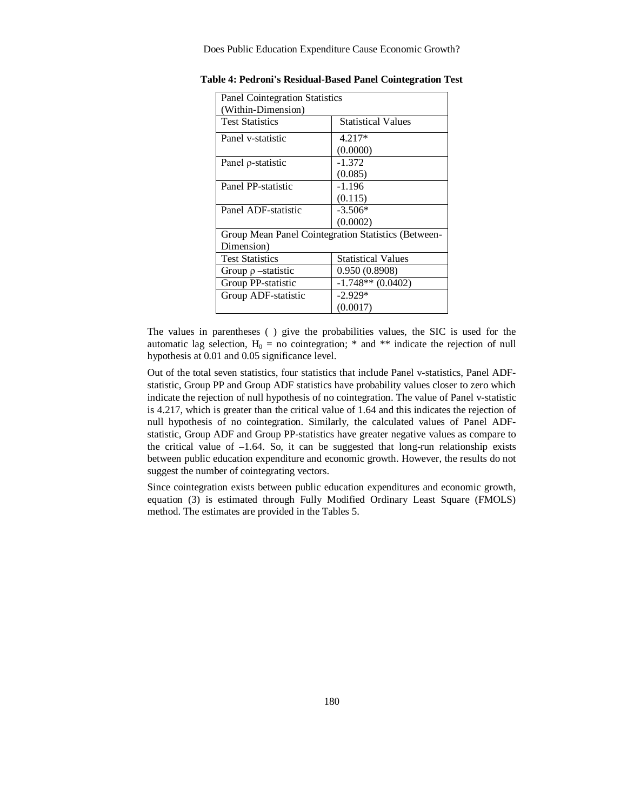Does Public Education Expenditure Cause Economic Growth?

| <b>Panel Cointegration Statistics</b>               |                           |  |
|-----------------------------------------------------|---------------------------|--|
| (Within-Dimension)                                  |                           |  |
| <b>Test Statistics</b>                              | <b>Statistical Values</b> |  |
| Panel v-statistic                                   | $4.217*$                  |  |
|                                                     | (0.0000)                  |  |
| Panel p-statistic                                   | $-1.372$                  |  |
|                                                     | (0.085)                   |  |
| Panel PP-statistic                                  | $-1.196$                  |  |
|                                                     | (0.115)                   |  |
| Panel ADF-statistic                                 | $-3.506*$                 |  |
|                                                     | (0.0002)                  |  |
| Group Mean Panel Cointegration Statistics (Between- |                           |  |
| Dimension)                                          |                           |  |
| <b>Test Statistics</b>                              | <b>Statistical Values</b> |  |
| Group $\rho$ -statistic                             | 0.950 (0.8908)            |  |
| Group PP-statistic                                  | $-1.748**$ (0.0402)       |  |
| Group ADF-statistic                                 | $-2.929*$                 |  |
|                                                     | (0.0017)                  |  |

|  |  | <b>Table 4: Pedroni's Residual-Based Panel Cointegration Test</b> |
|--|--|-------------------------------------------------------------------|
|--|--|-------------------------------------------------------------------|

The values in parentheses ( ) give the probabilities values, the SIC is used for the automatic lag selection,  $H_0 = no$  cointegration; \* and \*\* indicate the rejection of null hypothesis at 0.01 and 0.05 significance level.

Out of the total seven statistics, four statistics that include Panel v-statistics, Panel ADFstatistic, Group PP and Group ADF statistics have probability values closer to zero which indicate the rejection of null hypothesis of no cointegration. The value of Panel v-statistic is 4.217, which is greater than the critical value of 1.64 and this indicates the rejection of null hypothesis of no cointegration. Similarly, the calculated values of Panel ADFstatistic, Group ADF and Group PP-statistics have greater negative values as compare to the critical value of –1.64. So, it can be suggested that long-run relationship exists between public education expenditure and economic growth. However, the results do not suggest the number of cointegrating vectors.

Since cointegration exists between public education expenditures and economic growth, equation (3) is estimated through Fully Modified Ordinary Least Square (FMOLS) method. The estimates are provided in the Tables 5.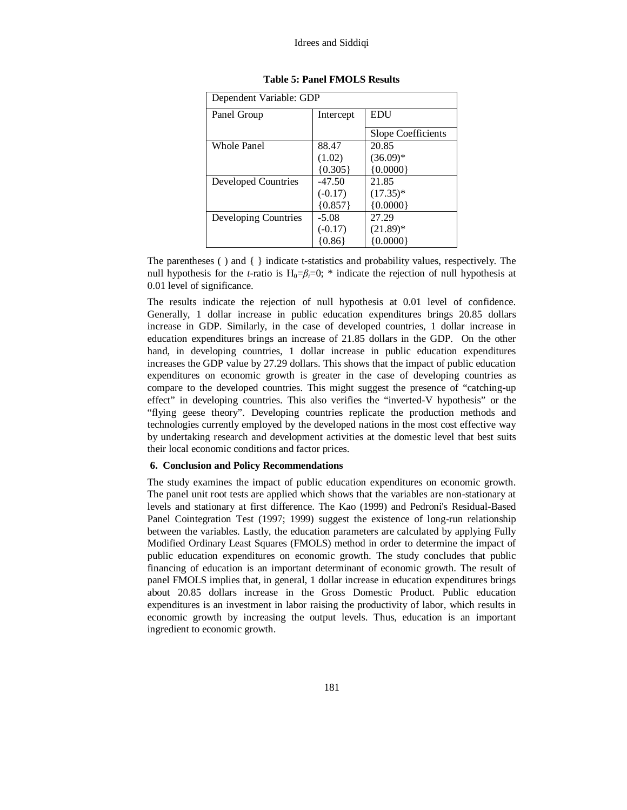#### Idrees and Siddiqi

| Dependent Variable: GDP |           |                    |  |
|-------------------------|-----------|--------------------|--|
| Panel Group             | Intercept | EDU                |  |
|                         |           | Slope Coefficients |  |
| <b>Whole Panel</b>      | 88.47     | 20.85              |  |
|                         | (1.02)    | $(36.09)*$         |  |
|                         | ${0.305}$ | ${0.0000}$         |  |
| Developed Countries     | $-47.50$  | 21.85              |  |
|                         | $(-0.17)$ | $(17.35)^*$        |  |
|                         | ${0.857}$ | ${0.0000}$         |  |
| Developing Countries    | $-5.08$   | 27.29              |  |
|                         | $(-0.17)$ | $(21.89)^*$        |  |
|                         | (0.86)    | {0.0000}           |  |

# **Table 5: Panel FMOLS Results**

The parentheses ( ) and { } indicate t-statistics and probability values, respectively. The null hypothesis for the *t*-ratio is  $H_0 = \beta_i = 0$ ; \* indicate the rejection of null hypothesis at 0.01 level of significance.

The results indicate the rejection of null hypothesis at 0.01 level of confidence. Generally, 1 dollar increase in public education expenditures brings 20.85 dollars increase in GDP. Similarly, in the case of developed countries, 1 dollar increase in education expenditures brings an increase of 21.85 dollars in the GDP. On the other hand, in developing countries, 1 dollar increase in public education expenditures increases the GDP value by 27.29 dollars. This shows that the impact of public education expenditures on economic growth is greater in the case of developing countries as compare to the developed countries. This might suggest the presence of "catching-up effect" in developing countries. This also verifies the "inverted-V hypothesis" or the "flying geese theory". Developing countries replicate the production methods and technologies currently employed by the developed nations in the most cost effective way by undertaking research and development activities at the domestic level that best suits their local economic conditions and factor prices.

## **6. Conclusion and Policy Recommendations**

The study examines the impact of public education expenditures on economic growth. The panel unit root tests are applied which shows that the variables are non-stationary at levels and stationary at first difference. The Kao (1999) and Pedroni's Residual-Based Panel Cointegration Test (1997; 1999) suggest the existence of long-run relationship between the variables. Lastly, the education parameters are calculated by applying Fully Modified Ordinary Least Squares (FMOLS) method in order to determine the impact of public education expenditures on economic growth. The study concludes that public financing of education is an important determinant of economic growth. The result of panel FMOLS implies that, in general, 1 dollar increase in education expenditures brings about 20.85 dollars increase in the Gross Domestic Product. Public education expenditures is an investment in labor raising the productivity of labor, which results in economic growth by increasing the output levels. Thus, education is an important ingredient to economic growth.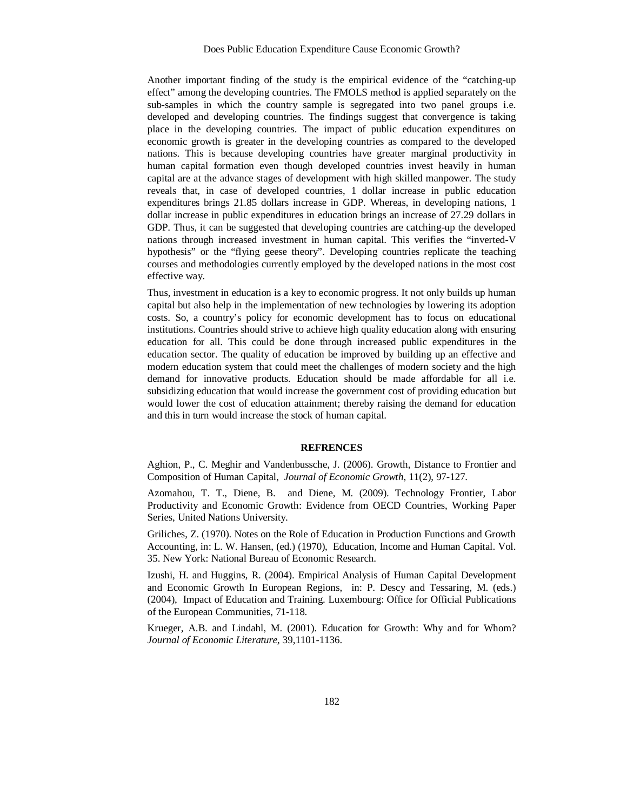Another important finding of the study is the empirical evidence of the "catching-up effect" among the developing countries. The FMOLS method is applied separately on the sub-samples in which the country sample is segregated into two panel groups i.e. developed and developing countries. The findings suggest that convergence is taking place in the developing countries. The impact of public education expenditures on economic growth is greater in the developing countries as compared to the developed nations. This is because developing countries have greater marginal productivity in human capital formation even though developed countries invest heavily in human capital are at the advance stages of development with high skilled manpower. The study reveals that, in case of developed countries, 1 dollar increase in public education expenditures brings 21.85 dollars increase in GDP. Whereas, in developing nations, 1 dollar increase in public expenditures in education brings an increase of 27.29 dollars in GDP. Thus, it can be suggested that developing countries are catching-up the developed nations through increased investment in human capital. This verifies the "inverted-V hypothesis" or the "flying geese theory". Developing countries replicate the teaching courses and methodologies currently employed by the developed nations in the most cost effective way.

Thus, investment in education is a key to economic progress. It not only builds up human capital but also help in the implementation of new technologies by lowering its adoption costs. So, a country's policy for economic development has to focus on educational institutions. Countries should strive to achieve high quality education along with ensuring education for all. This could be done through increased public expenditures in the education sector. The quality of education be improved by building up an effective and modern education system that could meet the challenges of modern society and the high demand for innovative products. Education should be made affordable for all i.e. subsidizing education that would increase the government cost of providing education but would lower the cost of education attainment; thereby raising the demand for education and this in turn would increase the stock of human capital.

#### **REFRENCES**

Aghion, P., C. Meghir and Vandenbussche, J. (2006). Growth, Distance to Frontier and Composition of Human Capital, *Journal of Economic Growth,* 11(2), 97-127.

Azomahou, T. T., Diene, B. and Diene, M. (2009). Technology Frontier, Labor Productivity and Economic Growth: Evidence from OECD Countries, Working Paper Series, United Nations University.

Griliches, Z. (1970). Notes on the Role of Education in Production Functions and Growth Accounting, in: L. W. Hansen, (ed.) (1970), Education, Income and Human Capital. Vol. 35. New York: National Bureau of Economic Research.

Izushi, H. and Huggins, R. (2004). Empirical Analysis of Human Capital Development and Economic Growth In European Regions, in: P. Descy and Tessaring, M. (eds.) (2004), Impact of Education and Training. Luxembourg: Office for Official Publications of the European Communities, 71-118.

Krueger, A.B. and Lindahl, M. (2001). Education for Growth: Why and for Whom? *Journal of Economic Literature,* 39,1101-1136.